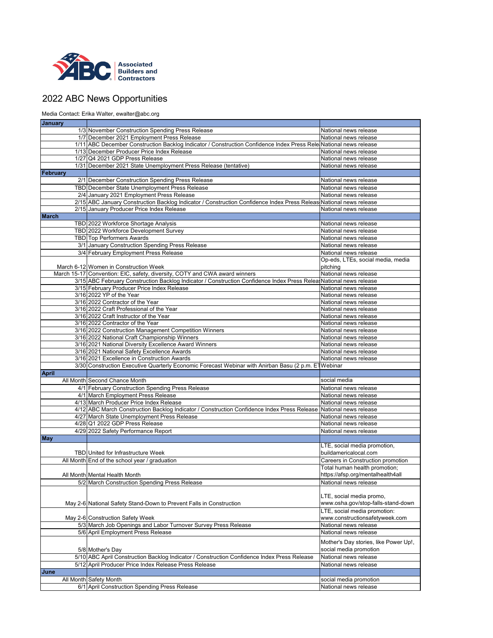| <b>January</b> |                                                                                                                    |                                       |
|----------------|--------------------------------------------------------------------------------------------------------------------|---------------------------------------|
|                | 1/3 November Construction Spending Press Release                                                                   | National news release                 |
|                | 1/7 December 2021 Employment Press Release                                                                         | National news release                 |
|                | 1/11 ABC December Construction Backlog Indicator / Construction Confidence Index Press Rele National news release  |                                       |
|                | 1/13 December Producer Price Index Release                                                                         | National news release                 |
|                | 1/27 Q4 2021 GDP Press Release                                                                                     | National news release                 |
|                | 1/31 December 2021 State Unemployment Press Release (tentative)                                                    | National news release                 |
| February       |                                                                                                                    |                                       |
|                | 2/1 December Construction Spending Press Release                                                                   | National news release                 |
|                | TBD December State Unemployment Press Release                                                                      | National news release                 |
|                | 2/4 January 2021 Employment Press Release                                                                          | National news release                 |
|                | 2/15 ABC January Construction Backlog Indicator / Construction Confidence Index Press Releas National news release |                                       |
|                | 2/15 January Producer Price Index Release                                                                          | National news release                 |
| <b>March</b>   |                                                                                                                    |                                       |
|                | TBD 2022 Workforce Shortage Analysis                                                                               | National news release                 |
|                | TBD 2022 Workforce Development Survey                                                                              | National news release                 |
|                | <b>TBD</b> Top Performers Awards                                                                                   | National news release                 |
|                | 3/1 January Construction Spending Press Release                                                                    | National news release                 |
|                | 3/4 February Employment Press Release                                                                              | National news release                 |
|                |                                                                                                                    | Op-eds, LTEs, social media, media     |
|                | March 6-12 Women in Construction Week                                                                              | pitching                              |
|                | March 15-17 Convention: EIC, safety, diversity, COTY and CWA award winners                                         | National news release                 |
|                | 3/15 ABC February Construction Backlog Indicator / Construction Confidence Index Press Relea National news release |                                       |
|                | 3/15 February Producer Price Index Release                                                                         | National news release                 |
|                | 3/16 2022 YP of the Year                                                                                           | National news release                 |
|                | 3/16 2022 Contractor of the Year                                                                                   | National news release                 |
|                | 3/16 2022 Craft Professional of the Year                                                                           | National news release                 |
|                | 3/16 2022 Craft Instructor of the Year                                                                             | National news release                 |
|                | 3/16 2022 Contractor of the Year                                                                                   | National news release                 |
|                | 3/16 2022 Construction Management Competition Winners                                                              | National news release                 |
|                | 3/16 2022 National Craft Championship Winners                                                                      | National news release                 |
|                | 3/16 2021 National Diversity Excellence Award Winners                                                              | National news release                 |
|                | 3/16 2021 National Safety Excellence Awards                                                                        | National news release                 |
|                | 3/16 2021 Excellence in Construction Awards                                                                        | National news release                 |
|                | 3/30 Construction Executive Quarterly Economic Forecast Webinar with Anirban Basu (2 p.m. ETWebinar                |                                       |
| <b>April</b>   |                                                                                                                    |                                       |
|                | All Month Second Chance Month                                                                                      | social media                          |
|                | 4/1 February Construction Spending Press Release                                                                   | National news release                 |
|                | 4/1 March Employment Press Release                                                                                 | National news release                 |
|                | 4/13 March Producer Price Index Release                                                                            | National news release                 |
|                | 4/12 ABC March Construction Backlog Indicator / Construction Confidence Index Press Release National news release  |                                       |
|                | 4/27 March State Unemployment Press Release                                                                        | National news release                 |
|                | 4/28 Q1 2022 GDP Press Release                                                                                     | National news release                 |
|                | 4/29 2022 Safety Performance Report                                                                                | National news release                 |
| <b>May</b>     |                                                                                                                    |                                       |
|                |                                                                                                                    | LTE, social media promotion,          |
|                | <b>TBD</b> United for Infrastructure Week                                                                          | buildamericalocal.com                 |
|                | All Month End of the school year / graduation                                                                      | Careers in Construction promotion     |
|                |                                                                                                                    | Total human health promotion;         |
|                | All Month Mental Health Month                                                                                      | https://afsp.org/mentalhealth4all     |
|                | 5/2 March Construction Spending Press Release                                                                      | National news release                 |
|                |                                                                                                                    |                                       |
|                |                                                                                                                    | LTE, social media promo,              |
|                | May 2-6 National Safety Stand-Down to Prevent Falls in Construction                                                | www.osha.gov/stop-falls-stand-down    |
|                |                                                                                                                    | LTE, social media promotion:          |
|                | May 2-6 Construction Safety Week                                                                                   | www.constructionsafetyweek.com        |
|                | 5/3 March Job Openings and Labor Turnover Survey Press Release                                                     | National news release                 |
|                | 5/6 April Employment Press Release                                                                                 | National news release                 |
|                |                                                                                                                    | Mother's Day stories, like Power Up!, |
|                | 5/8 Mother's Day                                                                                                   | social media promotion                |
|                | 5/10 ABC April Construction Backlog Indicator / Construction Confidence Index Press Release                        | National news release                 |
|                | 5/12 April Producer Price Index Release Press Release                                                              | National news release                 |
| <b>June</b>    |                                                                                                                    |                                       |
|                | All Month Safety Month                                                                                             | social media promotion                |
|                | 6/1 April Construction Spending Press Release                                                                      | National news release                 |
|                |                                                                                                                    |                                       |



## 2022 ABC News Opportunities

Media Contact: Erika Walter, ewalter@abc.org